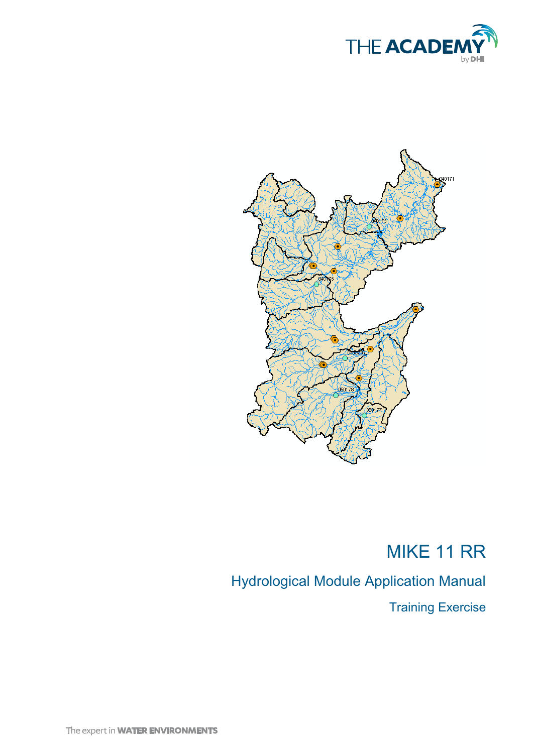



# MIKE 11 RR

Hydrological Module Application Manual

Training Exercise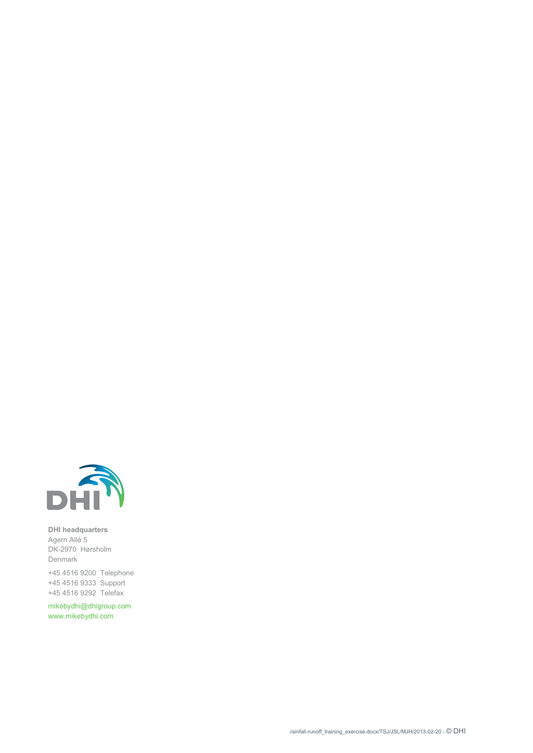

**DHI headquarters** Agern Allé 5 DK-2970 Hørsholm Denmark

+45 4516 9200 Telephone +45 4516 9333 Support +45 4516 9292 Telefax

mikebydhi@dhigroup.com www.mikebydhi.com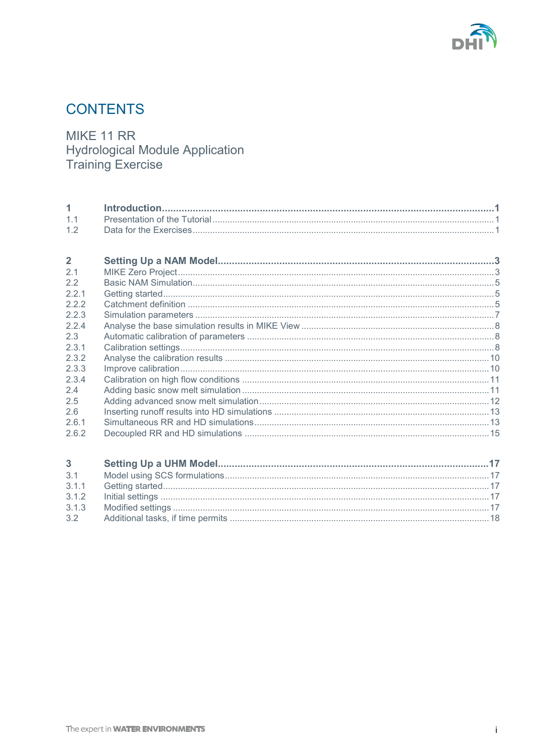

## **CONTENTS**

## MIKE 11 RR **Hydrological Module Application** Training Exercise

| $\overline{1}$ |  |
|----------------|--|
| 1.1            |  |
| 1.2            |  |
|                |  |
| $\overline{2}$ |  |
| 2.1            |  |
| 2.2            |  |
| 2.2.1          |  |
| 2.2.2          |  |
| 2.2.3          |  |
| 2.2.4          |  |
| 2.3            |  |
| 2.3.1          |  |
| 2.3.2          |  |
| 2.3.3          |  |
| 2.3.4          |  |
| 2.4            |  |
| 2.5            |  |
| 2.6            |  |
| 2.6.1          |  |
| 2.6.2          |  |
|                |  |
| 3              |  |
| 3.1            |  |
| 3.1.1          |  |
| 3.1.2          |  |
| 3.1.3          |  |
|                |  |

 $3.2$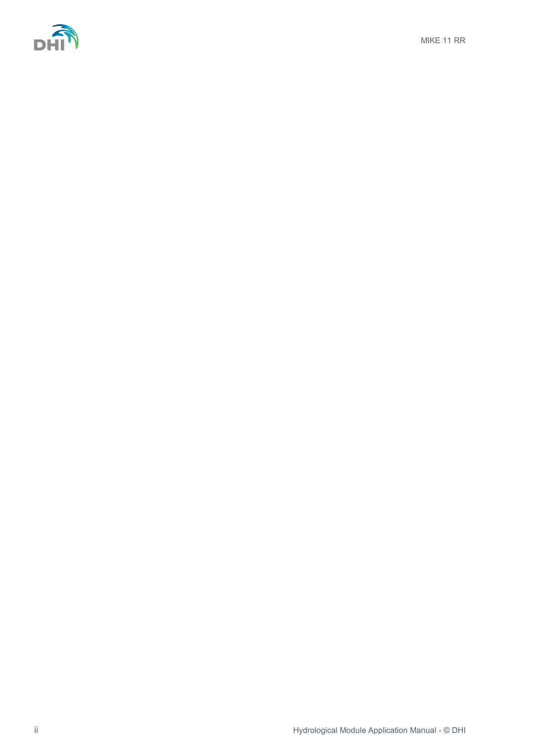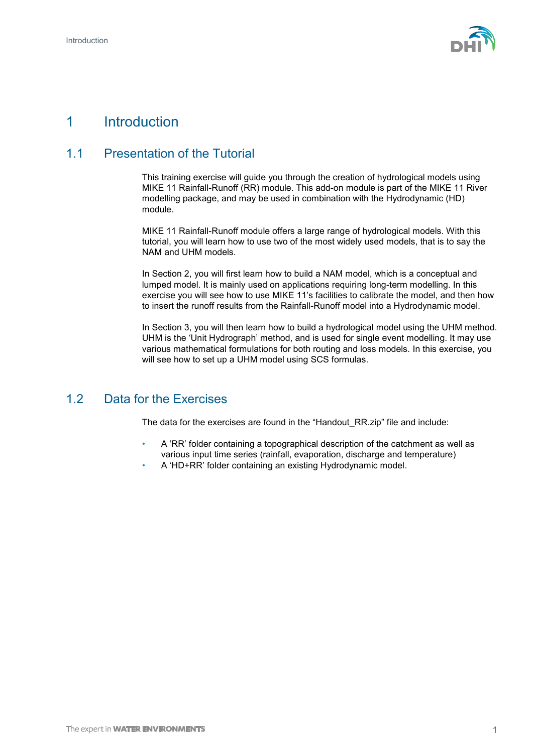

## 1 Introduction

## 1.1 Presentation of the Tutorial

This training exercise will guide you through the creation of hydrological models using MIKE 11 Rainfall-Runoff (RR) module. This add-on module is part of the MIKE 11 River modelling package, and may be used in combination with the Hydrodynamic (HD) module.

MIKE 11 Rainfall-Runoff module offers a large range of hydrological models. With this tutorial, you will learn how to use two of the most widely used models, that is to say the NAM and UHM models.

In Section [2,](#page-6-0) you will first learn how to build a NAM model, which is a conceptual and lumped model. It is mainly used on applications requiring long-term modelling. In this exercise you will see how to use MIKE 11's facilities to calibrate the model, and then how to insert the runoff results from the Rainfall-Runoff model into a Hydrodynamic model.

In Section 3, you will then learn how to build a hydrological model using the UHM method. UHM is the 'Unit Hydrograph' method, and is used for single event modelling. It may use various mathematical formulations for both routing and loss models. In this exercise, you will see how to set up a UHM model using SCS formulas.

## 1.2 Data for the Exercises

The data for the exercises are found in the "Handout\_RR.zip" file and include:

- A 'RR' folder containing a topographical description of the catchment as well as various input time series (rainfall, evaporation, discharge and temperature)
- A 'HD+RR' folder containing an existing Hydrodynamic model.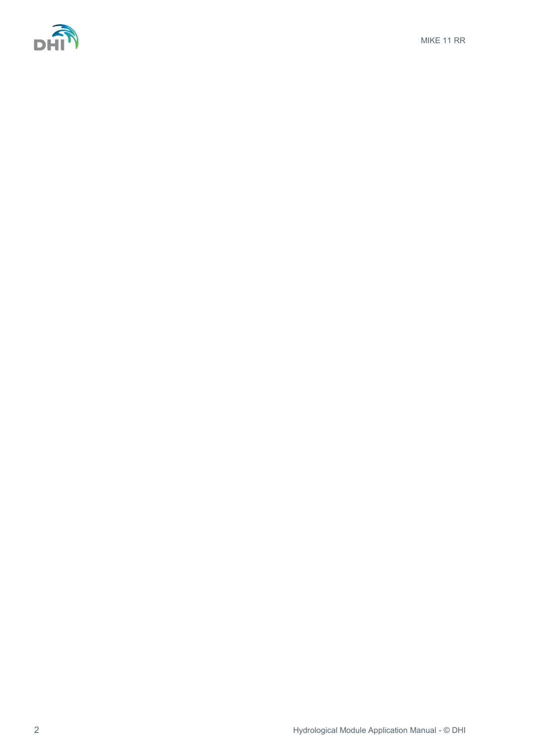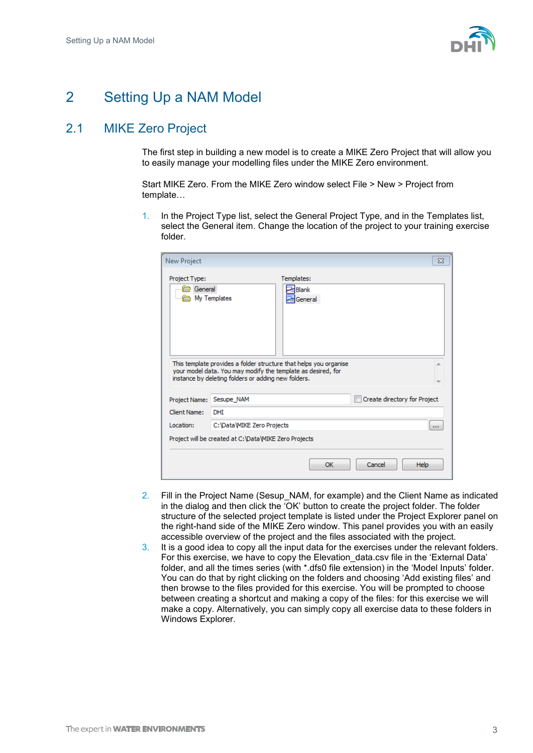

## <span id="page-6-0"></span>2 Setting Up a NAM Model

## 2.1 MIKE Zero Project

The first step in building a new model is to create a MIKE Zero Project that will allow you to easily manage your modelling files under the MIKE Zero environment.

Start MIKE Zero. From the MIKE Zero window select File > New > Project from template…

1. In the Project Type list, select the General Project Type, and in the Templates list, select the General item. Change the location of the project to your training exercise folder.

| New Project              | $\Sigma$                                                                                                                                                                                 |
|--------------------------|------------------------------------------------------------------------------------------------------------------------------------------------------------------------------------------|
| Project Type:<br>General | Templates:<br>≷Blank<br>My Templates<br>General                                                                                                                                          |
|                          | This template provides a folder structure that helps you organise<br>your model data. You may modify the template as desired, for<br>instance by deleting folders or adding new folders. |
| Project Name:            | Create directory for Project<br>Sesupe NAM                                                                                                                                               |
| Client Name:             | DHI                                                                                                                                                                                      |
| Location:                | C:\Data\MIKE Zero Projects<br>$\cdots$                                                                                                                                                   |
|                          | Project will be created at C: \Data\MIKE Zero Projects                                                                                                                                   |
|                          | Cancel<br><b>Help</b><br>ОК                                                                                                                                                              |

- 2. Fill in the Project Name (Sesup NAM, for example) and the Client Name as indicated in the dialog and then click the 'OK' button to create the project folder. The folder structure of the selected project template is listed under the Project Explorer panel on the right-hand side of the MIKE Zero window. This panel provides you with an easily accessible overview of the project and the files associated with the project.
- 3. It is a good idea to copy all the input data for the exercises under the relevant folders. For this exercise, we have to copy the Elevation data.csv file in the 'External Data' folder, and all the times series (with \*.dfs0 file extension) in the 'Model Inputs' folder. You can do that by right clicking on the folders and choosing 'Add existing files' and then browse to the files provided for this exercise. You will be prompted to choose between creating a shortcut and making a copy of the files: for this exercise we will make a copy. Alternatively, you can simply copy all exercise data to these folders in Windows Explorer.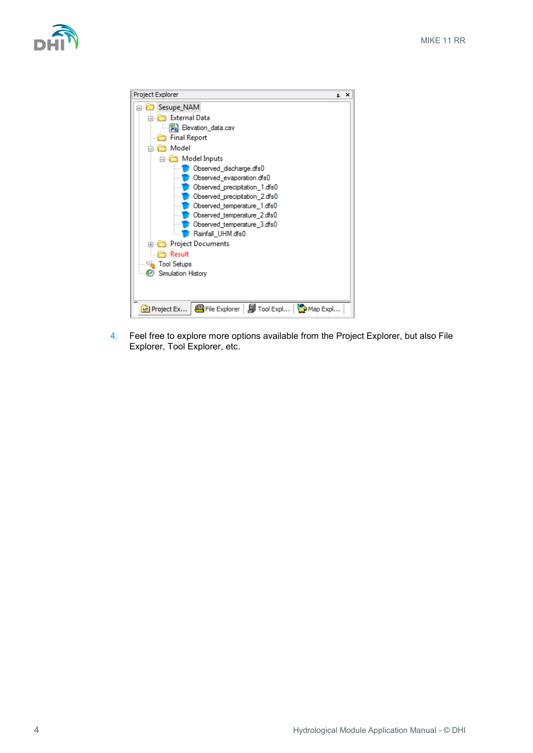



4. Feel free to explore more options available from the Project Explorer, but also File Explorer, Tool Explorer, etc.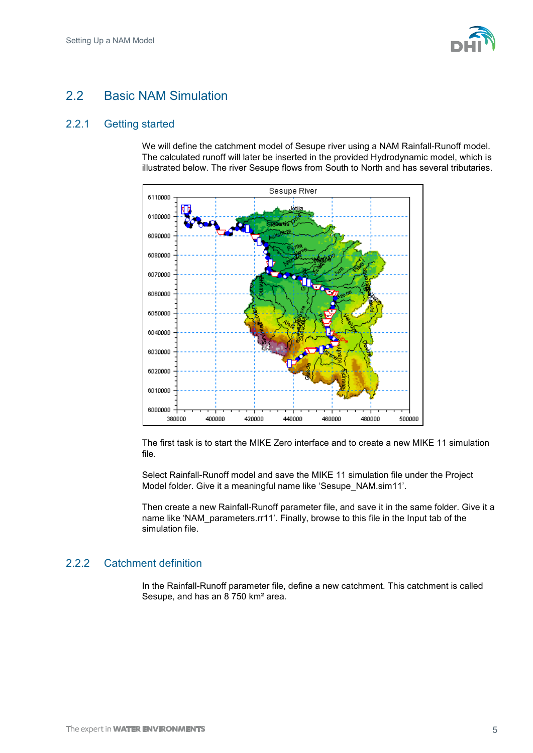

## 2.2 Basic NAM Simulation

### 2.2.1 Getting started

We will define the catchment model of Sesupe river using a NAM Rainfall-Runoff model. The calculated runoff will later be inserted in the provided Hydrodynamic model, which is illustrated below. The river Sesupe flows from South to North and has several tributaries.



The first task is to start the MIKE Zero interface and to create a new MIKE 11 simulation file.

Select Rainfall-Runoff model and save the MIKE 11 simulation file under the Project Model folder. Give it a meaningful name like 'Sesupe\_NAM.sim11'.

Then create a new Rainfall-Runoff parameter file, and save it in the same folder. Give it a name like 'NAM\_parameters.rr11'. Finally, browse to this file in the Input tab of the simulation file.

#### 2.2.2 Catchment definition

In the Rainfall-Runoff parameter file, define a new catchment. This catchment is called Sesupe, and has an 8 750 km² area.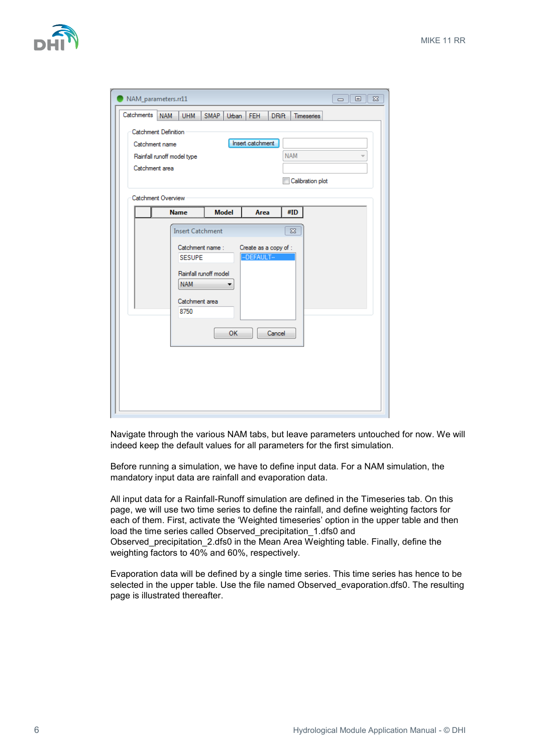

| NAM_parameters.rr11                                                    |                                                                                                                                             |                           |                                                       |                                                              | $\Box$<br>$\Sigma$<br>$\Box$ |
|------------------------------------------------------------------------|---------------------------------------------------------------------------------------------------------------------------------------------|---------------------------|-------------------------------------------------------|--------------------------------------------------------------|------------------------------|
| Catchments<br>Catchment Definition<br>Catchment name<br>Catchment area | <b>NAM</b><br><b>UHM</b><br>Rainfall runoff model type                                                                                      | <b>SMAP</b><br>Urban      | <b>FEH</b><br>Insert catchment                        | <b>DRiFt</b><br>Timeseries<br><b>NAM</b><br>Calibration plot |                              |
| Catchment Overview                                                     | <b>Name</b><br><b>Insert Catchment</b><br>Catchment name:<br><b>SESUPE</b><br>Rainfall runoff model<br><b>NAM</b><br>Catchment area<br>8750 | <b>Model</b><br><b>OK</b> | Area<br>Create as a copy of :<br>--DEFAULT-<br>Cancel | #ID<br>$\Sigma$                                              |                              |

Navigate through the various NAM tabs, but leave parameters untouched for now. We will indeed keep the default values for all parameters for the first simulation.

Before running a simulation, we have to define input data. For a NAM simulation, the mandatory input data are rainfall and evaporation data.

All input data for a Rainfall-Runoff simulation are defined in the Timeseries tab. On this page, we will use two time series to define the rainfall, and define weighting factors for each of them. First, activate the 'Weighted timeseries' option in the upper table and then load the time series called Observed\_precipitation\_1.dfs0 and Observed precipitation 2.dfs0 in the Mean Area Weighting table. Finally, define the weighting factors to 40% and 60%, respectively.

Evaporation data will be defined by a single time series. This time series has hence to be selected in the upper table. Use the file named Observed evaporation.dfs0. The resulting page is illustrated thereafter.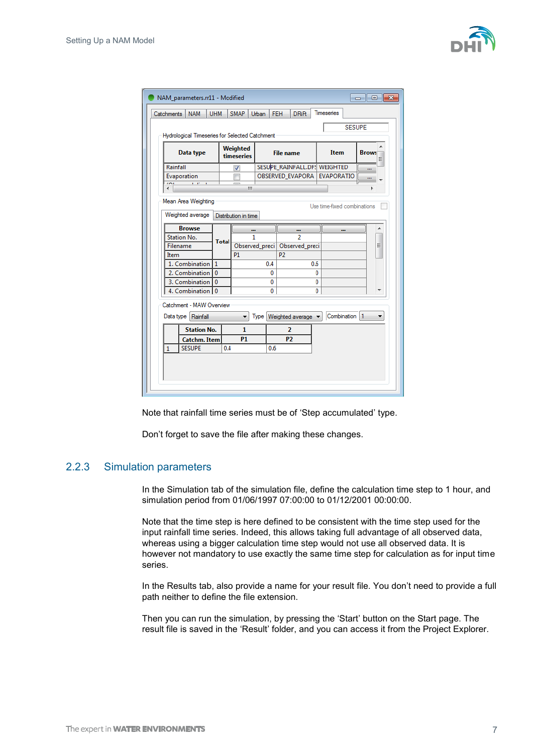

|                     | Catchments NAM                                 | <b>UHM</b>   | <b>SMAP</b>                   | <b>Urban</b> | <b>FEH</b><br><b>DRiR</b>    | <b>SESUPE</b>     |                   |
|---------------------|------------------------------------------------|--------------|-------------------------------|--------------|------------------------------|-------------------|-------------------|
|                     | Hydrological Timeseries for Selected Catchment |              |                               |              |                              |                   |                   |
|                     | Data type                                      |              | Weighted<br>timeseries        |              | <b>File name</b>             | <b>Item</b>       | <b>Brows</b><br>Ξ |
| Rainfall            |                                                |              | V                             |              | SESUPE RAINFALL.DFS WEIGHTED |                   | m.                |
|                     | Evaporation                                    |              |                               |              | <b>OBSERVED EVAPORA</b>      | <b>EVAPORATIO</b> | m.                |
| $\overline{m}$      | <b>Carlo Fa</b>                                |              | -<br>ш                        |              |                              |                   | k                 |
|                     | Weighted average<br><b>Browse</b>              |              | Distribution in time          |              |                              |                   |                   |
|                     | <b>Station No.</b>                             |              | m.<br>1                       | <br>2        |                              |                   |                   |
|                     | Filename                                       | <b>Total</b> | Observed preci Observed preci |              |                              |                   | Ξ                 |
| <b>Item</b>         |                                                |              | <b>P1</b>                     |              | P <sub>2</sub>               |                   |                   |
|                     | 1. Combination                                 | $\mathbf{1}$ |                               | 0.4          | 0.6                          |                   |                   |
|                     | 2. Combination                                 | $\mathbf{0}$ |                               | 0            |                              | 0                 |                   |
|                     | 3. Combination                                 | $\Omega$     |                               | 0            |                              | 0                 |                   |
|                     | 4. Combination 0                               |              |                               | 0            |                              | 0                 |                   |
|                     | Catchment - MAW Overview                       |              |                               |              |                              |                   |                   |
|                     | Data type Rainfall                             |              | ▼                             |              | Type Weighted average ▼      | Combination 1     |                   |
|                     | <b>Station No.</b>                             |              | 1                             |              | 2                            |                   |                   |
| <b>Catchm. Item</b> |                                                |              | <b>P1</b>                     |              | P <sub>2</sub>               |                   |                   |
| $\mathbf{1}$        | <b>SESUPE</b>                                  | 0.4          |                               | 0.6          |                              |                   |                   |

Note that rainfall time series must be of 'Step accumulated' type.

Don't forget to save the file after making these changes.

#### 2.2.3 Simulation parameters

In the Simulation tab of the simulation file, define the calculation time step to 1 hour, and simulation period from 01/06/1997 07:00:00 to 01/12/2001 00:00:00.

Note that the time step is here defined to be consistent with the time step used for the input rainfall time series. Indeed, this allows taking full advantage of all observed data, whereas using a bigger calculation time step would not use all observed data. It is however not mandatory to use exactly the same time step for calculation as for input time series.

In the Results tab, also provide a name for your result file. You don't need to provide a full path neither to define the file extension.

Then you can run the simulation, by pressing the 'Start' button on the Start page. The result file is saved in the 'Result' folder, and you can access it from the Project Explorer.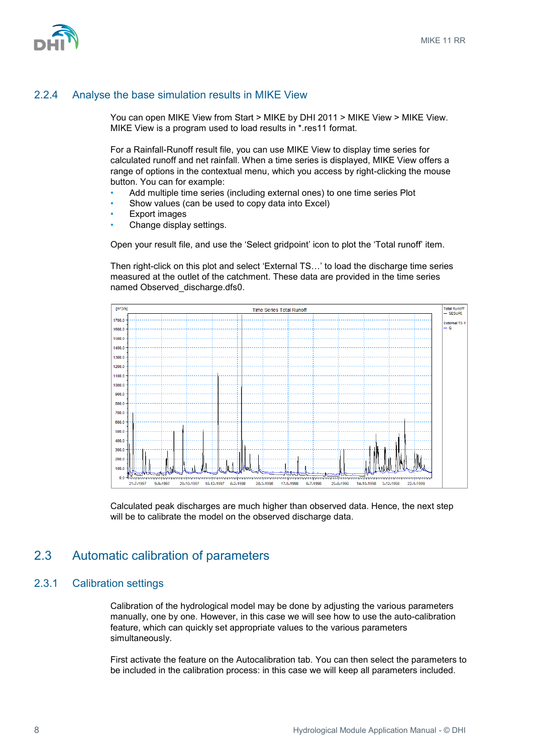

#### 2.2.4 Analyse the base simulation results in MIKE View

You can open MIKE View from Start > MIKE by DHI 2011 > MIKE View > MIKE View. MIKE View is a program used to load results in \*.res11 format.

For a Rainfall-Runoff result file, you can use MIKE View to display time series for calculated runoff and net rainfall. When a time series is displayed, MIKE View offers a range of options in the contextual menu, which you access by right-clicking the mouse button. You can for example:

- Add multiple time series (including external ones) to one time series Plot
- Show values (can be used to copy data into Excel)
- Export images
- Change display settings.

Open your result file, and use the 'Select gridpoint' icon to plot the 'Total runoff' item.

Then right-click on this plot and select 'External TS…' to load the discharge time series measured at the outlet of the catchment. These data are provided in the time series named Observed\_discharge.dfs0.



Calculated peak discharges are much higher than observed data. Hence, the next step will be to calibrate the model on the observed discharge data.

### 2.3 Automatic calibration of parameters

#### 2.3.1 Calibration settings

Calibration of the hydrological model may be done by adjusting the various parameters manually, one by one. However, in this case we will see how to use the auto-calibration feature, which can quickly set appropriate values to the various parameters simultaneously.

First activate the feature on the Autocalibration tab. You can then select the parameters to be included in the calibration process: in this case we will keep all parameters included.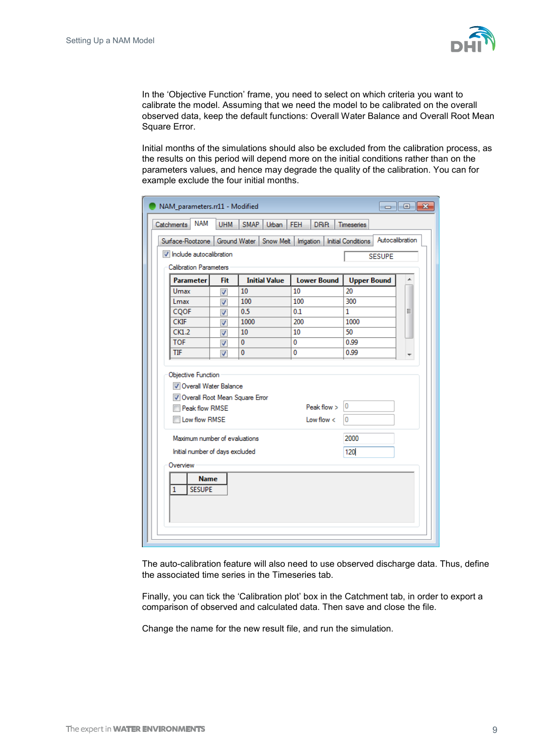

In the 'Objective Function' frame, you need to select on which criteria you want to calibrate the model. Assuming that we need the model to be calibrated on the overall observed data, keep the default functions: Overall Water Balance and Overall Root Mean Square Error.

Initial months of the simulations should also be excluded from the calibration process, as the results on this period will depend more on the initial conditions rather than on the parameters values, and hence may degrade the quality of the calibration. You can for example exclude the four initial months.

| Surface-Rootzone<br>I Include autocalibration                       |                          | Ground Water<br>Snow Melt | Inigation                     | Autocalibration<br><b>Initial Conditions</b><br><b>SESUPE</b> |   |
|---------------------------------------------------------------------|--------------------------|---------------------------|-------------------------------|---------------------------------------------------------------|---|
| <b>Calibration Parameters</b><br><b>Parameter</b>                   | Fit                      | <b>Initial Value</b>      | <b>Lower Bound</b>            | <b>Upper Bound</b>                                            |   |
| Umax                                                                | $\overline{\mathcal{F}}$ | 10                        | 10                            | 20                                                            |   |
| Lmax                                                                | $\overline{\mathcal{J}}$ | 100                       | 100                           | 300                                                           |   |
| <b>CQOF</b>                                                         | $\overline{\mathcal{J}}$ | 0.5                       | 0.1                           | 1                                                             | Ξ |
| <b>CKIF</b>                                                         | ✓                        | 1000                      | 200                           | 1000                                                          |   |
| CK1.2                                                               | $\overline{\mathcal{J}}$ | 10                        | 10                            | 50                                                            |   |
| <b>TOF</b>                                                          | $\overline{\mathsf{v}}$  | 0                         | 0                             | 0.99                                                          |   |
| TIF                                                                 | $\overline{\mathbf{v}}$  | 0                         | 0                             | 0.99                                                          | ┯ |
| Objective Function<br>V Overall Water Balance                       |                          |                           |                               |                                                               |   |
| V Overall Root Mean Square Error<br>Peak flow RMSE<br>Low flow RMSE |                          |                           | Peak flow $>$<br>Low flow $<$ | 10<br>0                                                       |   |
| Maximum number of evaluations                                       |                          |                           |                               | 2000                                                          |   |
| Initial number of days excluded                                     |                          |                           |                               | 120                                                           |   |

The auto-calibration feature will also need to use observed discharge data. Thus, define the associated time series in the Timeseries tab.

Finally, you can tick the 'Calibration plot' box in the Catchment tab, in order to export a comparison of observed and calculated data. Then save and close the file.

Change the name for the new result file, and run the simulation.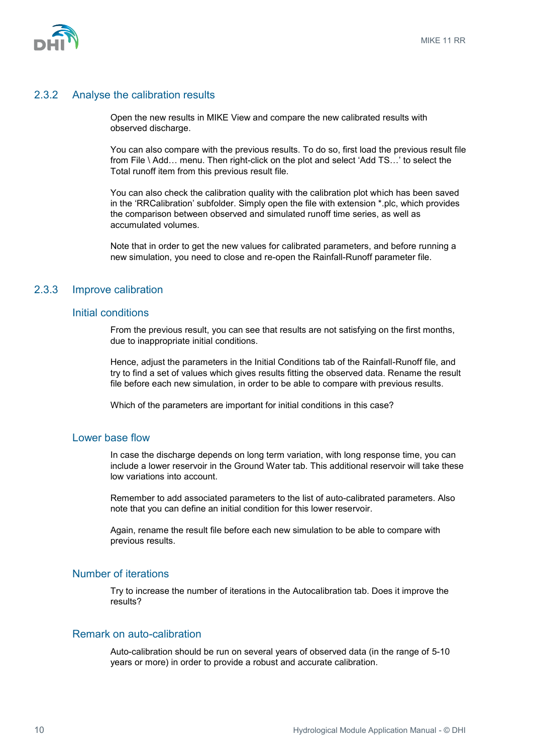

#### 2.3.2 Analyse the calibration results

Open the new results in MIKE View and compare the new calibrated results with observed discharge.

You can also compare with the previous results. To do so, first load the previous result file from File \ Add… menu. Then right-click on the plot and select 'Add TS…' to select the Total runoff item from this previous result file.

You can also check the calibration quality with the calibration plot which has been saved in the 'RRCalibration' subfolder. Simply open the file with extension \*.plc, which provides the comparison between observed and simulated runoff time series, as well as accumulated volumes.

Note that in order to get the new values for calibrated parameters, and before running a new simulation, you need to close and re-open the Rainfall-Runoff parameter file.

#### 2.3.3 Improve calibration

#### Initial conditions

From the previous result, you can see that results are not satisfying on the first months, due to inappropriate initial conditions.

Hence, adjust the parameters in the Initial Conditions tab of the Rainfall-Runoff file, and try to find a set of values which gives results fitting the observed data. Rename the result file before each new simulation, in order to be able to compare with previous results.

Which of the parameters are important for initial conditions in this case?

#### Lower base flow

In case the discharge depends on long term variation, with long response time, you can include a lower reservoir in the Ground Water tab. This additional reservoir will take these low variations into account.

Remember to add associated parameters to the list of auto-calibrated parameters. Also note that you can define an initial condition for this lower reservoir.

Again, rename the result file before each new simulation to be able to compare with previous results.

#### Number of iterations

Try to increase the number of iterations in the Autocalibration tab. Does it improve the results?

#### Remark on auto-calibration

Auto-calibration should be run on several years of observed data (in the range of 5-10 years or more) in order to provide a robust and accurate calibration.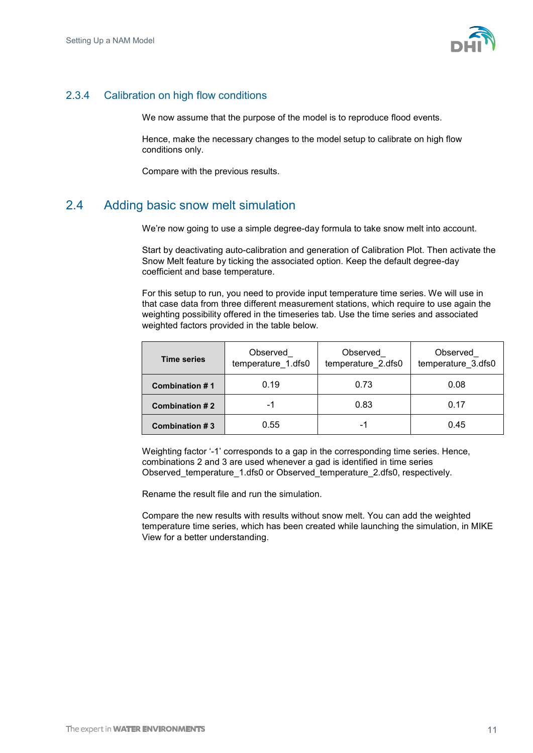

#### 2.3.4 Calibration on high flow conditions

We now assume that the purpose of the model is to reproduce flood events.

Hence, make the necessary changes to the model setup to calibrate on high flow conditions only.

Compare with the previous results.

## 2.4 Adding basic snow melt simulation

We're now going to use a simple degree-day formula to take snow melt into account.

Start by deactivating auto-calibration and generation of Calibration Plot. Then activate the Snow Melt feature by ticking the associated option. Keep the default degree-day coefficient and base temperature.

For this setup to run, you need to provide input temperature time series. We will use in that case data from three different measurement stations, which require to use again the weighting possibility offered in the timeseries tab. Use the time series and associated weighted factors provided in the table below.

| <b>Time series</b> | Observed<br>temperature 1.dfs0 | Observed<br>temperature 2.dfs0 | Observed<br>temperature 3.dfs0 |
|--------------------|--------------------------------|--------------------------------|--------------------------------|
| Combination #1     | 0.19                           | 0.73                           | 0.08                           |
| Combination #2     | -1                             | 0.83                           | 0.17                           |
| Combination #3     | 0.55                           | -                              | 0.45                           |

Weighting factor '-1' corresponds to a gap in the corresponding time series. Hence, combinations 2 and 3 are used whenever a gad is identified in time series Observed\_temperature\_1.dfs0 or Observed\_temperature\_2.dfs0, respectively.

Rename the result file and run the simulation.

Compare the new results with results without snow melt. You can add the weighted temperature time series, which has been created while launching the simulation, in MIKE View for a better understanding.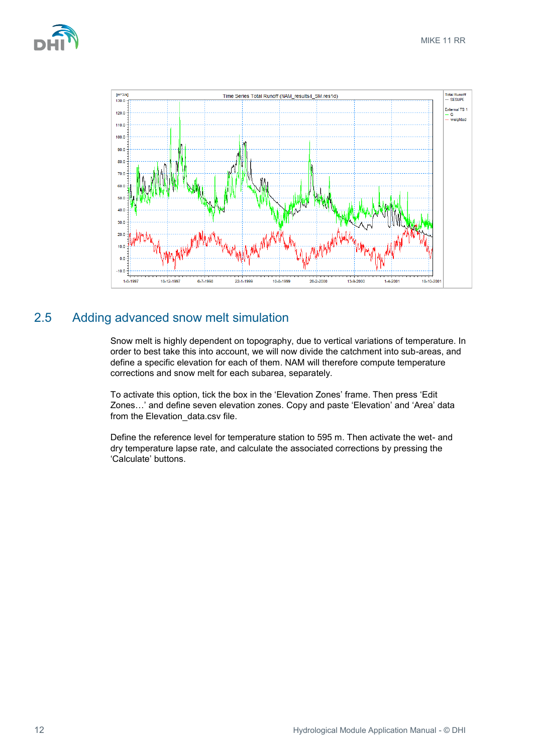



## 2.5 Adding advanced snow melt simulation

Snow melt is highly dependent on topography, due to vertical variations of temperature. In order to best take this into account, we will now divide the catchment into sub-areas, and define a specific elevation for each of them. NAM will therefore compute temperature corrections and snow melt for each subarea, separately.

To activate this option, tick the box in the 'Elevation Zones' frame. Then press 'Edit Zones…' and define seven elevation zones. Copy and paste 'Elevation' and 'Area' data from the Elevation data.csv file.

Define the reference level for temperature station to 595 m. Then activate the wet- and dry temperature lapse rate, and calculate the associated corrections by pressing the 'Calculate' buttons.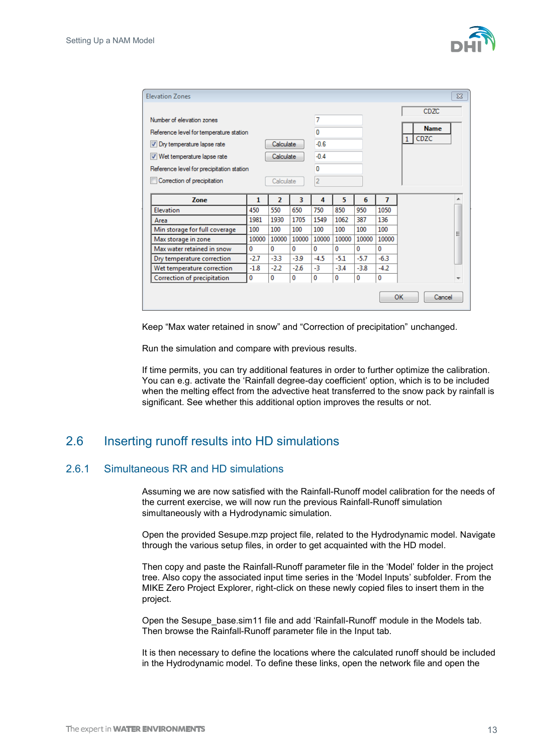

|           | <b>Elevation Zones</b>                                                                                        |        |                |        |                  |        |        |                |              |                                    | $\boxtimes$ |
|-----------|---------------------------------------------------------------------------------------------------------------|--------|----------------|--------|------------------|--------|--------|----------------|--------------|------------------------------------|-------------|
|           | Number of elevation zones<br>Reference level for temperature station<br>$ \nabla $ Dry temperature lapse rate |        | Calculate      |        | 7<br>0<br>$-0.6$ |        |        |                | $\mathbf{1}$ | <b>CDZC</b><br><b>Name</b><br>CDZC |             |
|           | V Wet temperature lapse rate                                                                                  |        | Calculate      |        | $-0.4$           |        |        |                |              |                                    |             |
|           | Reference level for precipitation station                                                                     |        |                |        | 0                |        |        |                |              |                                    |             |
|           | Correction of precipitation                                                                                   |        | Calculate      |        | $\overline{2}$   |        |        |                |              |                                    |             |
|           | <b>Zone</b>                                                                                                   | 1      | $\overline{2}$ | 3      | 4                | 5      | 6      | $\overline{ }$ |              |                                    |             |
| Elevation |                                                                                                               | 450    | 550            | 650    | 750              | 850    | 950    | 1050           |              |                                    |             |
| Area      |                                                                                                               | 1981   | 1930           | 1705   | 1549             | 1062   | 387    | 136            |              |                                    |             |
|           | Min storage for full coverage                                                                                 | 100    | 100            | 100    | 100              | 100    | 100    | 100            |              |                                    | Ξ           |
|           | Max storage in zone                                                                                           | 10000  | 10000          | 10000  | 10000            | 10000  | 10000  | 10000          |              |                                    |             |
|           | Max water retained in snow                                                                                    | 0      | 0              | 0      | 0                | 0      | 0      | 0              |              |                                    |             |
|           | Dry temperature correction                                                                                    | $-2.7$ | -3.3           | $-3.9$ | $-4.5$           | $-5.1$ | $-5.7$ | $-6.3$         |              |                                    |             |
|           | Wet temperature correction                                                                                    | $-1.8$ | $-2.2$         | $-2.6$ | -3               | $-3.4$ | $-3.8$ | $-4.2$         |              |                                    |             |
|           | Correction of precipitation                                                                                   | 0      | 0              | 0      | 0                | 0      | 0      | 0              |              |                                    |             |
|           |                                                                                                               |        |                |        |                  |        |        |                | OK           | Cancel                             |             |

Keep "Max water retained in snow" and "Correction of precipitation" unchanged.

Run the simulation and compare with previous results.

If time permits, you can try additional features in order to further optimize the calibration. You can e.g. activate the 'Rainfall degree-day coefficient' option, which is to be included when the melting effect from the advective heat transferred to the snow pack by rainfall is significant. See whether this additional option improves the results or not.

### 2.6 Inserting runoff results into HD simulations

#### 2.6.1 Simultaneous RR and HD simulations

Assuming we are now satisfied with the Rainfall-Runoff model calibration for the needs of the current exercise, we will now run the previous Rainfall-Runoff simulation simultaneously with a Hydrodynamic simulation.

Open the provided Sesupe.mzp project file, related to the Hydrodynamic model. Navigate through the various setup files, in order to get acquainted with the HD model.

Then copy and paste the Rainfall-Runoff parameter file in the 'Model' folder in the project tree. Also copy the associated input time series in the 'Model Inputs' subfolder. From the MIKE Zero Project Explorer, right-click on these newly copied files to insert them in the project.

Open the Sesupe base.sim11 file and add 'Rainfall-Runoff' module in the Models tab. Then browse the Rainfall-Runoff parameter file in the Input tab.

It is then necessary to define the locations where the calculated runoff should be included in the Hydrodynamic model. To define these links, open the network file and open the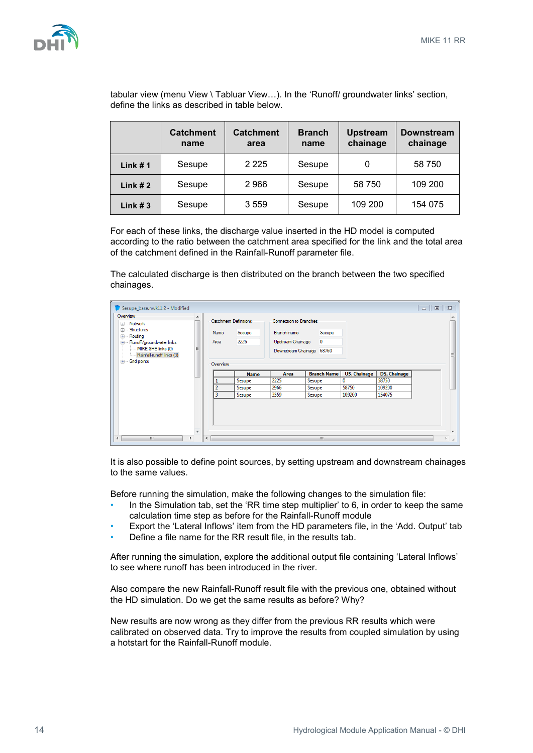

tabular view (menu View \ Tabluar View…). In the 'Runoff/ groundwater links' section, define the links as described in table below.

|            | <b>Catchment</b><br>name | <b>Catchment</b><br>area |        | <b>Upstream</b><br>chainage | <b>Downstream</b><br>chainage |
|------------|--------------------------|--------------------------|--------|-----------------------------|-------------------------------|
| Link $# 1$ | Sesupe                   | 2 2 2 5                  | Sesupe |                             | 58 750                        |
| Link $#2$  | Sesupe                   | 2966                     | Sesupe | 58 750                      | 109 200                       |
| Link $#3$  | Sesupe                   | 3559                     | Sesupe | 109 200                     | 154 075                       |

For each of these links, the discharge value inserted in the HD model is computed according to the ratio between the catchment area specified for the link and the total area of the catchment defined in the Rainfall-Runoff parameter file.

The calculated discharge is then distributed on the branch between the two specified chainages.



It is also possible to define point sources, by setting upstream and downstream chainages to the same values.

Before running the simulation, make the following changes to the simulation file:

- In the Simulation tab, set the 'RR time step multiplier' to 6, in order to keep the same calculation time step as before for the Rainfall-Runoff module
- Export the 'Lateral Inflows' item from the HD parameters file, in the 'Add. Output' tab
- Define a file name for the RR result file, in the results tab.

After running the simulation, explore the additional output file containing 'Lateral Inflows' to see where runoff has been introduced in the river.

Also compare the new Rainfall-Runoff result file with the previous one, obtained without the HD simulation. Do we get the same results as before? Why?

New results are now wrong as they differ from the previous RR results which were calibrated on observed data. Try to improve the results from coupled simulation by using a hotstart for the Rainfall-Runoff module.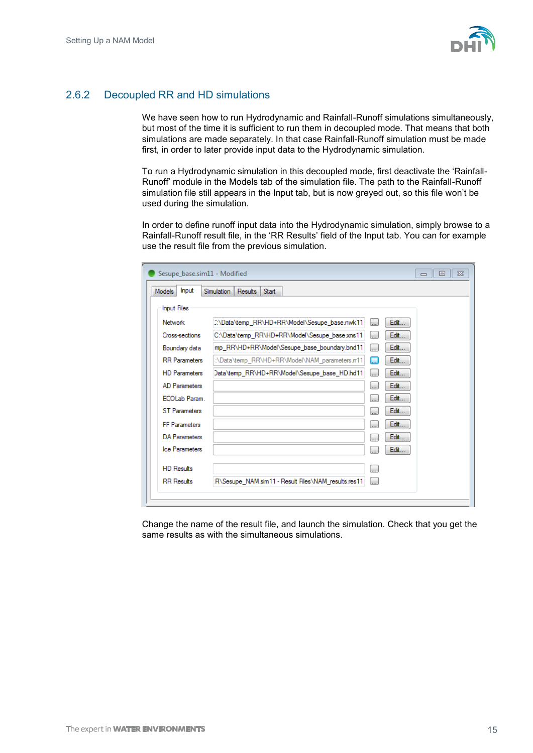

#### 2.6.2 Decoupled RR and HD simulations

We have seen how to run Hydrodynamic and Rainfall-Runoff simulations simultaneously, but most of the time it is sufficient to run them in decoupled mode. That means that both simulations are made separately. In that case Rainfall-Runoff simulation must be made first, in order to later provide input data to the Hydrodynamic simulation.

To run a Hydrodynamic simulation in this decoupled mode, first deactivate the 'Rainfall-Runoff' module in the Models tab of the simulation file. The path to the Rainfall-Runoff simulation file still appears in the Input tab, but is now greyed out, so this file won't be used during the simulation.

In order to define runoff input data into the Hydrodynamic simulation, simply browse to a Rainfall-Runoff result file, in the 'RR Results' field of the Input tab. You can for example use the result file from the previous simulation.

| Sesupe base.sim11 - Modified |                                                     |                          |      | ▣<br>$\qquad \qquad \Box$ |
|------------------------------|-----------------------------------------------------|--------------------------|------|---------------------------|
| Input<br>Models              | <b>Start</b><br><b>Simulation</b><br>Results        |                          |      |                           |
| <b>Input Files</b>           |                                                     |                          |      |                           |
| Network                      | C:\Data\temp RR\HD+RR\Model\Sesupe base.nwk11       | $\overline{\phantom{a}}$ | Edit |                           |
| Cross-sections               | C:\Data\temp RR\HD+RR\Model\Sesupe base.xns11       | $\overline{\phantom{a}}$ | Edit |                           |
| Boundary data                | mp RR\HD+RR\Model\Sesupe base boundary.bnd11        |                          | Edit |                           |
| <b>RR</b> Parameters         | :\Data\temp_RR\HD+RR\Model\NAM_parameters.rr11      | $\blacksquare$           | Edit |                           |
| <b>HD</b> Parameters         | Data\temp_RR\HD+RR\Model\Sesupe_base_HD.hd11        | $\overline{\phantom{a}}$ | Edit |                           |
| <b>AD</b> Parameters         |                                                     | ι                        | Edit |                           |
| ECOLab Param.                |                                                     | ι                        | Edit |                           |
| <b>ST Parameters</b>         |                                                     | ι                        | Edit |                           |
| <b>FF Parameters</b>         |                                                     | μ.                       | Edit |                           |
| <b>DA</b> Parameters         |                                                     | Γ.,                      | Edit |                           |
| Ice Parameters               |                                                     | ι                        | Edit |                           |
| <b>HD</b> Results            |                                                     | ω.                       |      |                           |
| <b>RR</b> Results            | R\Sesupe NAM.sim11 - Result Files\NAM results.res11 | $\overline{\phantom{a}}$ |      |                           |
|                              |                                                     |                          |      |                           |

Change the name of the result file, and launch the simulation. Check that you get the same results as with the simultaneous simulations.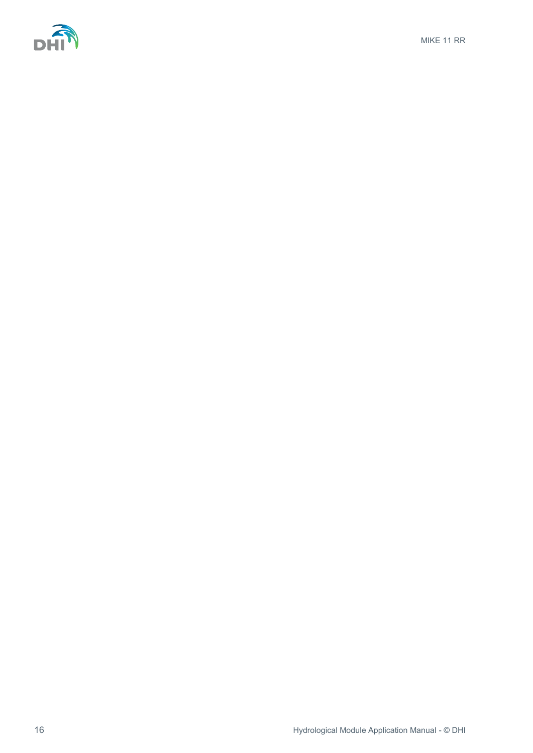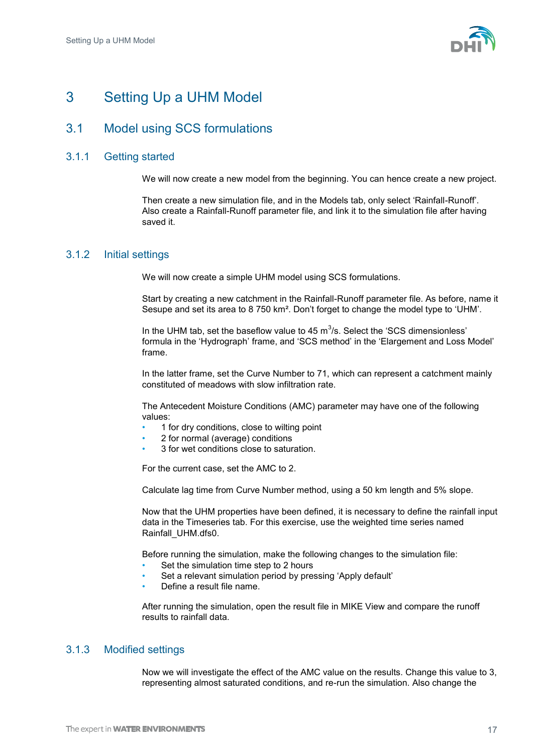

## 3 Setting Up a UHM Model

## 3.1 Model using SCS formulations

#### 3.1.1 Getting started

We will now create a new model from the beginning. You can hence create a new project.

Then create a new simulation file, and in the Models tab, only select 'Rainfall-Runoff'. Also create a Rainfall-Runoff parameter file, and link it to the simulation file after having saved it.

#### 3.1.2 Initial settings

We will now create a simple UHM model using SCS formulations.

Start by creating a new catchment in the Rainfall-Runoff parameter file. As before, name it Sesupe and set its area to 8 750 km². Don't forget to change the model type to 'UHM'.

In the UHM tab, set the baseflow value to 45  $m^3/s$ . Select the 'SCS dimensionless' formula in the 'Hydrograph' frame, and 'SCS method' in the 'Elargement and Loss Model' frame.

In the latter frame, set the Curve Number to 71, which can represent a catchment mainly constituted of meadows with slow infiltration rate.

The Antecedent Moisture Conditions (AMC) parameter may have one of the following values:

- 1 for dry conditions, close to wilting point
- 2 for normal (average) conditions
- 3 for wet conditions close to saturation.

For the current case, set the AMC to 2.

Calculate lag time from Curve Number method, using a 50 km length and 5% slope.

Now that the UHM properties have been defined, it is necessary to define the rainfall input data in the Timeseries tab. For this exercise, use the weighted time series named Rainfall\_UHM.dfs0.

Before running the simulation, make the following changes to the simulation file:

- Set the simulation time step to 2 hours
- Set a relevant simulation period by pressing 'Apply default'
- Define a result file name.

After running the simulation, open the result file in MIKE View and compare the runoff results to rainfall data.

#### 3.1.3 Modified settings

Now we will investigate the effect of the AMC value on the results. Change this value to 3, representing almost saturated conditions, and re-run the simulation. Also change the